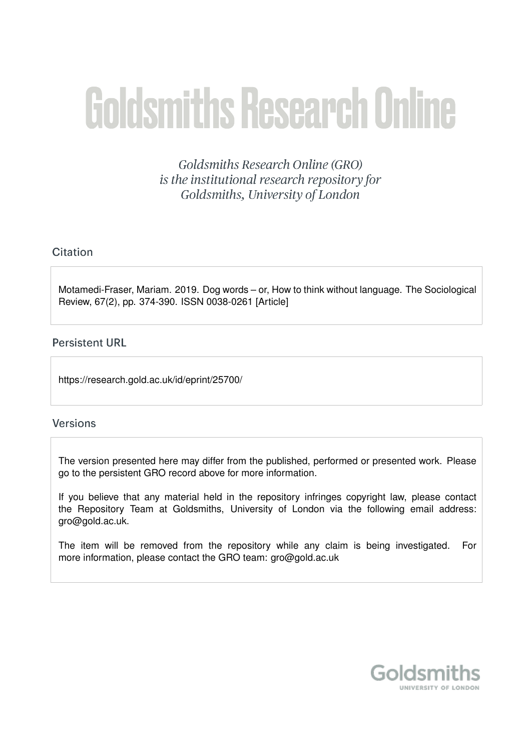# **Goldsmiths Research Online**

Goldsmiths Research Online (GRO) is the institutional research repository for Goldsmiths, University of London

# Citation

Motamedi-Fraser, Mariam. 2019. Dog words – or, How to think without language. The Sociological Review, 67(2), pp. 374-390. ISSN 0038-0261 [Article]

# **Persistent URL**

https://research.gold.ac.uk/id/eprint/25700/

## **Versions**

The version presented here may differ from the published, performed or presented work. Please go to the persistent GRO record above for more information.

If you believe that any material held in the repository infringes copyright law, please contact the Repository Team at Goldsmiths, University of London via the following email address: gro@gold.ac.uk.

The item will be removed from the repository while any claim is being investigated. For more information, please contact the GRO team: gro@gold.ac.uk

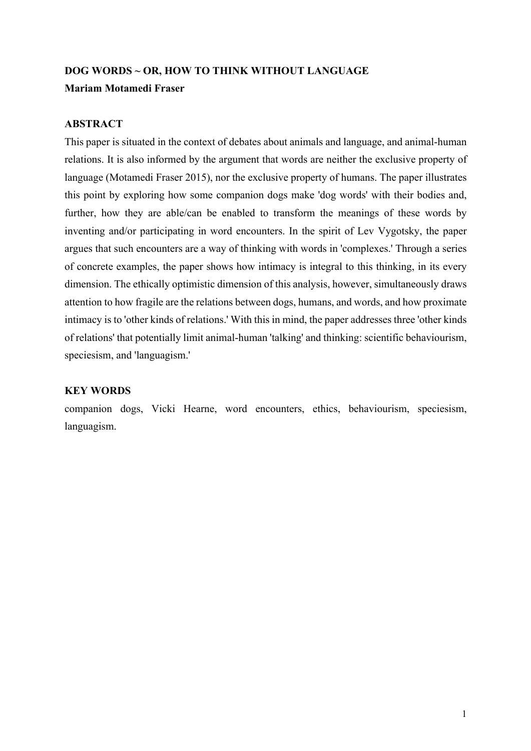# **DOG WORDS ~ OR, HOW TO THINK WITHOUT LANGUAGE**

# **Mariam Motamedi Fraser**

# **ABSTRACT**

This paper is situated in the context of debates about animals and language, and animal-human relations. It is also informed by the argument that words are neither the exclusive property of language (Motamedi Fraser 2015), nor the exclusive property of humans. The paper illustrates this point by exploring how some companion dogs make 'dog words' with their bodies and, further, how they are able/can be enabled to transform the meanings of these words by inventing and/or participating in word encounters. In the spirit of Lev Vygotsky, the paper argues that such encounters are a way of thinking with words in 'complexes.' Through a series of concrete examples, the paper shows how intimacy is integral to this thinking, in its every dimension. The ethically optimistic dimension of this analysis, however, simultaneously draws attention to how fragile are the relations between dogs, humans, and words, and how proximate intimacy is to 'other kinds of relations.' With this in mind, the paper addresses three 'other kinds of relations' that potentially limit animal-human 'talking' and thinking: scientific behaviourism, speciesism, and 'languagism.'

## **KEY WORDS**

companion dogs, Vicki Hearne, word encounters, ethics, behaviourism, speciesism, languagism.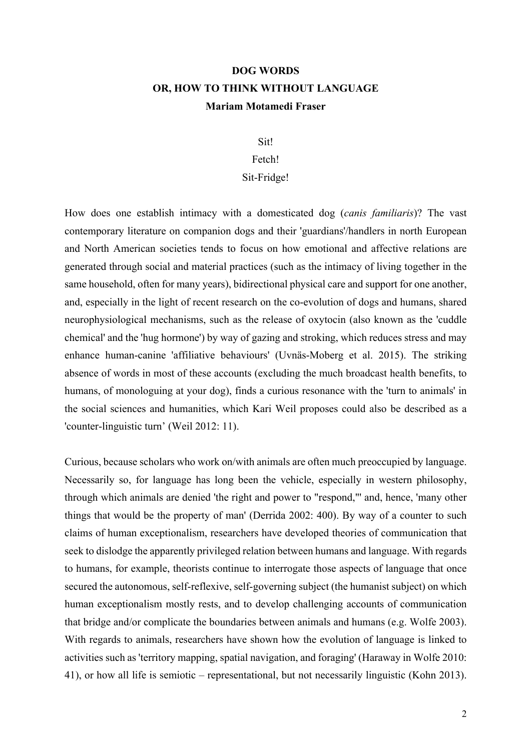# **DOG WORDS OR, HOW TO THINK WITHOUT LANGUAGE Mariam Motamedi Fraser**

# Sit!

#### Fetch!

#### Sit-Fridge!

How does one establish intimacy with a domesticated dog (*canis familiaris*)? The vast contemporary literature on companion dogs and their 'guardians'/handlers in north European and North American societies tends to focus on how emotional and affective relations are generated through social and material practices (such as the intimacy of living together in the same household, often for many years), bidirectional physical care and support for one another, and, especially in the light of recent research on the co-evolution of dogs and humans, shared neurophysiological mechanisms, such as the release of oxytocin (also known as the 'cuddle chemical' and the 'hug hormone') by way of gazing and stroking, which reduces stress and may enhance human-canine 'affiliative behaviours' (Uvnäs-Moberg et al. 2015). The striking absence of words in most of these accounts (excluding the much broadcast health benefits, to humans, of monologuing at your dog), finds a curious resonance with the 'turn to animals' in the social sciences and humanities, which Kari Weil proposes could also be described as a 'counter-linguistic turn' (Weil 2012: 11).

Curious, because scholars who work on/with animals are often much preoccupied by language. Necessarily so, for language has long been the vehicle, especially in western philosophy, through which animals are denied 'the right and power to "respond,"' and, hence, 'many other things that would be the property of man' (Derrida 2002: 400). By way of a counter to such claims of human exceptionalism, researchers have developed theories of communication that seek to dislodge the apparently privileged relation between humans and language. With regards to humans, for example, theorists continue to interrogate those aspects of language that once secured the autonomous, self-reflexive, self-governing subject (the humanist subject) on which human exceptionalism mostly rests, and to develop challenging accounts of communication that bridge and/or complicate the boundaries between animals and humans (e.g. Wolfe 2003). With regards to animals, researchers have shown how the evolution of language is linked to activities such as 'territory mapping, spatial navigation, and foraging' (Haraway in Wolfe 2010: 41), or how all life is semiotic – representational, but not necessarily linguistic (Kohn 2013).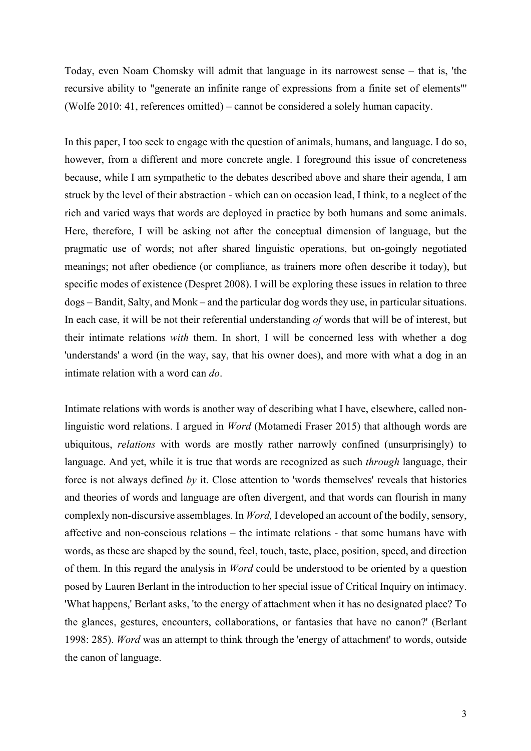Today, even Noam Chomsky will admit that language in its narrowest sense – that is, 'the recursive ability to "generate an infinite range of expressions from a finite set of elements"' (Wolfe 2010: 41, references omitted) – cannot be considered a solely human capacity.

In this paper, I too seek to engage with the question of animals, humans, and language. I do so, however, from a different and more concrete angle. I foreground this issue of concreteness because, while I am sympathetic to the debates described above and share their agenda, I am struck by the level of their abstraction - which can on occasion lead, I think, to a neglect of the rich and varied ways that words are deployed in practice by both humans and some animals. Here, therefore, I will be asking not after the conceptual dimension of language, but the pragmatic use of words; not after shared linguistic operations, but on-goingly negotiated meanings; not after obedience (or compliance, as trainers more often describe it today), but specific modes of existence (Despret 2008). I will be exploring these issues in relation to three dogs – Bandit, Salty, and Monk – and the particular dog words they use, in particular situations. In each case, it will be not their referential understanding *of* words that will be of interest, but their intimate relations *with* them. In short, I will be concerned less with whether a dog 'understands' a word (in the way, say, that his owner does), and more with what a dog in an intimate relation with a word can *do*.

Intimate relations with words is another way of describing what I have, elsewhere, called nonlinguistic word relations. I argued in *Word* (Motamedi Fraser 2015) that although words are ubiquitous, *relations* with words are mostly rather narrowly confined (unsurprisingly) to language. And yet, while it is true that words are recognized as such *through* language, their force is not always defined *by* it. Close attention to 'words themselves' reveals that histories and theories of words and language are often divergent, and that words can flourish in many complexly non-discursive assemblages. In *Word,* I developed an account of the bodily, sensory, affective and non-conscious relations – the intimate relations - that some humans have with words, as these are shaped by the sound, feel, touch, taste, place, position, speed, and direction of them. In this regard the analysis in *Word* could be understood to be oriented by a question posed by Lauren Berlant in the introduction to her special issue of Critical Inquiry on intimacy. 'What happens,' Berlant asks, 'to the energy of attachment when it has no designated place? To the glances, gestures, encounters, collaborations, or fantasies that have no canon?' (Berlant 1998: 285). *Word* was an attempt to think through the 'energy of attachment' to words, outside the canon of language.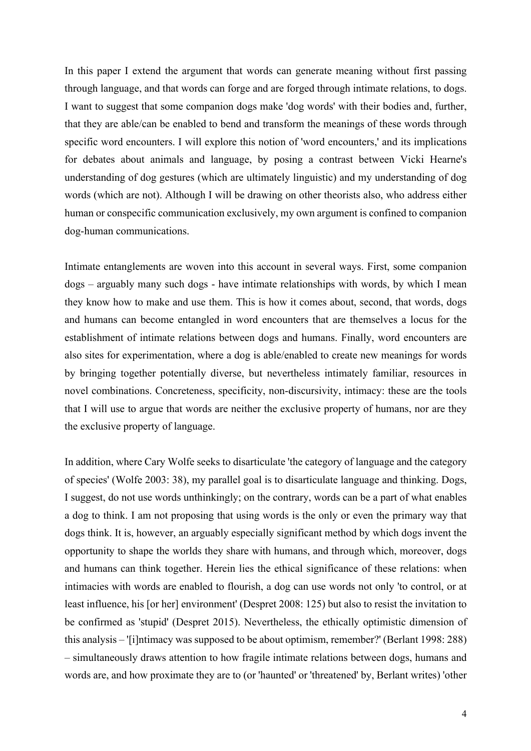In this paper I extend the argument that words can generate meaning without first passing through language, and that words can forge and are forged through intimate relations, to dogs. I want to suggest that some companion dogs make 'dog words' with their bodies and, further, that they are able/can be enabled to bend and transform the meanings of these words through specific word encounters. I will explore this notion of 'word encounters,' and its implications for debates about animals and language, by posing a contrast between Vicki Hearne's understanding of dog gestures (which are ultimately linguistic) and my understanding of dog words (which are not). Although I will be drawing on other theorists also, who address either human or conspecific communication exclusively, my own argument is confined to companion dog-human communications.

Intimate entanglements are woven into this account in several ways. First, some companion dogs – arguably many such dogs - have intimate relationships with words, by which I mean they know how to make and use them. This is how it comes about, second, that words, dogs and humans can become entangled in word encounters that are themselves a locus for the establishment of intimate relations between dogs and humans. Finally, word encounters are also sites for experimentation, where a dog is able/enabled to create new meanings for words by bringing together potentially diverse, but nevertheless intimately familiar, resources in novel combinations. Concreteness, specificity, non-discursivity, intimacy: these are the tools that I will use to argue that words are neither the exclusive property of humans, nor are they the exclusive property of language.

In addition, where Cary Wolfe seeks to disarticulate 'the category of language and the category of species' (Wolfe 2003: 38), my parallel goal is to disarticulate language and thinking. Dogs, I suggest, do not use words unthinkingly; on the contrary, words can be a part of what enables a dog to think. I am not proposing that using words is the only or even the primary way that dogs think. It is, however, an arguably especially significant method by which dogs invent the opportunity to shape the worlds they share with humans, and through which, moreover, dogs and humans can think together. Herein lies the ethical significance of these relations: when intimacies with words are enabled to flourish, a dog can use words not only 'to control, or at least influence, his [or her] environment' (Despret 2008: 125) but also to resist the invitation to be confirmed as 'stupid' (Despret 2015). Nevertheless, the ethically optimistic dimension of this analysis – '[i]ntimacy was supposed to be about optimism, remember?' (Berlant 1998: 288) – simultaneously draws attention to how fragile intimate relations between dogs, humans and words are, and how proximate they are to (or 'haunted' or 'threatened' by, Berlant writes) 'other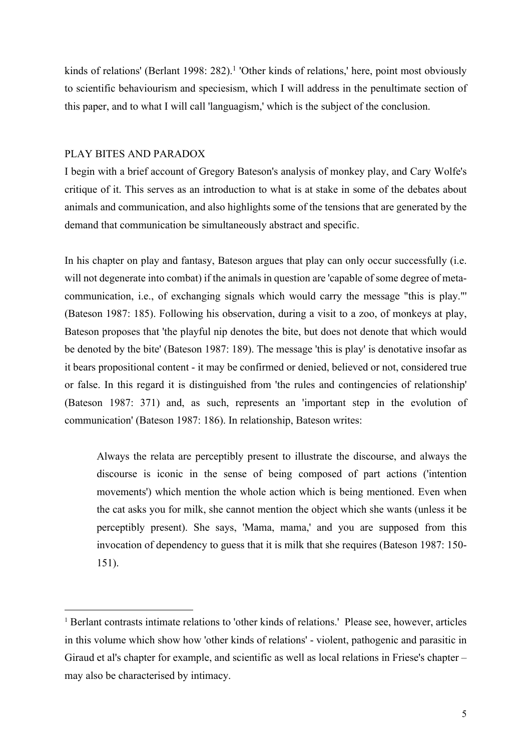kinds of relations' (Berlant 1998: 282).<sup>1</sup> 'Other kinds of relations,' here, point most obviously to scientific behaviourism and speciesism, which I will address in the penultimate section of this paper, and to what I will call 'languagism,' which is the subject of the conclusion.

## PLAY BITES AND PARADOX

1

I begin with a brief account of Gregory Bateson's analysis of monkey play, and Cary Wolfe's critique of it. This serves as an introduction to what is at stake in some of the debates about animals and communication, and also highlights some of the tensions that are generated by the demand that communication be simultaneously abstract and specific.

In his chapter on play and fantasy, Bateson argues that play can only occur successfully (i.e. will not degenerate into combat) if the animals in question are 'capable of some degree of metacommunication, i.e., of exchanging signals which would carry the message "this is play."' (Bateson 1987: 185). Following his observation, during a visit to a zoo, of monkeys at play, Bateson proposes that 'the playful nip denotes the bite, but does not denote that which would be denoted by the bite' (Bateson 1987: 189). The message 'this is play' is denotative insofar as it bears propositional content - it may be confirmed or denied, believed or not, considered true or false. In this regard it is distinguished from 'the rules and contingencies of relationship' (Bateson 1987: 371) and, as such, represents an 'important step in the evolution of communication' (Bateson 1987: 186). In relationship, Bateson writes:

Always the relata are perceptibly present to illustrate the discourse, and always the discourse is iconic in the sense of being composed of part actions ('intention movements') which mention the whole action which is being mentioned. Even when the cat asks you for milk, she cannot mention the object which she wants (unless it be perceptibly present). She says, 'Mama, mama,' and you are supposed from this invocation of dependency to guess that it is milk that she requires (Bateson 1987: 150- 151).

<sup>&</sup>lt;sup>1</sup> Berlant contrasts intimate relations to 'other kinds of relations.' Please see, however, articles in this volume which show how 'other kinds of relations' - violent, pathogenic and parasitic in Giraud et al's chapter for example, and scientific as well as local relations in Friese's chapter – may also be characterised by intimacy.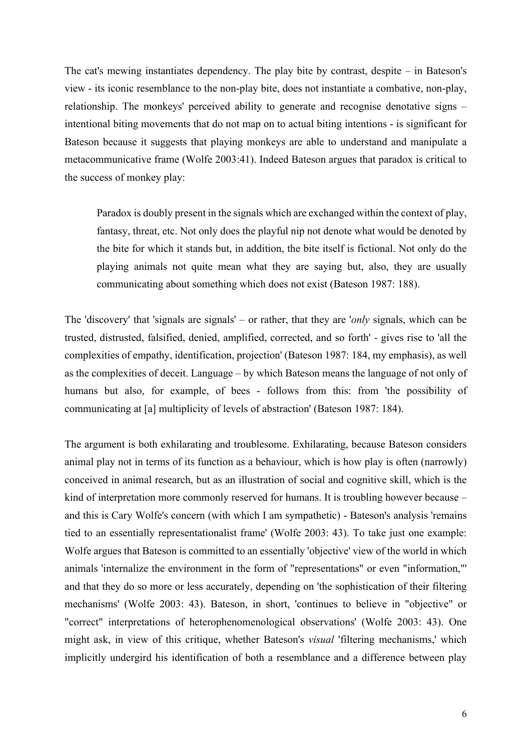The cat's mewing instantiates dependency. The play bite by contrast, despite – in Bateson's view - its iconic resemblance to the non-play bite, does not instantiate a combative, non-play, relationship. The monkeys' perceived ability to generate and recognise denotative signs – intentional biting movements that do not map on to actual biting intentions - is significant for Bateson because it suggests that playing monkeys are able to understand and manipulate a metacommunicative frame (Wolfe 2003:41). Indeed Bateson argues that paradox is critical to the success of monkey play:

Paradox is doubly present in the signals which are exchanged within the context of play, fantasy, threat, etc. Not only does the playful nip not denote what would be denoted by the bite for which it stands but, in addition, the bite itself is fictional. Not only do the playing animals not quite mean what they are saying but, also, they are usually communicating about something which does not exist (Bateson 1987: 188).

The 'discovery' that 'signals are signals' – or rather, that they are '*only* signals, which can be trusted, distrusted, falsified, denied, amplified, corrected, and so forth' - gives rise to 'all the complexities of empathy, identification, projection' (Bateson 1987: 184, my emphasis), as well as the complexities of deceit. Language – by which Bateson means the language of not only of humans but also, for example, of bees - follows from this: from 'the possibility of communicating at [a] multiplicity of levels of abstraction' (Bateson 1987: 184).

The argument is both exhilarating and troublesome. Exhilarating, because Bateson considers animal play not in terms of its function as a behaviour, which is how play is often (narrowly) conceived in animal research, but as an illustration of social and cognitive skill, which is the kind of interpretation more commonly reserved for humans. It is troubling however because – and this is Cary Wolfe's concern (with which I am sympathetic) - Bateson's analysis 'remains tied to an essentially representationalist frame' (Wolfe 2003: 43). To take just one example: Wolfe argues that Bateson is committed to an essentially 'objective' view of the world in which animals 'internalize the environment in the form of "representations" or even "information,"' and that they do so more or less accurately, depending on 'the sophistication of their filtering mechanisms' (Wolfe 2003: 43). Bateson, in short, 'continues to believe in "objective" or "correct" interpretations of heterophenomenological observations' (Wolfe 2003: 43). One might ask, in view of this critique, whether Bateson's *visual* 'filtering mechanisms,' which implicitly undergird his identification of both a resemblance and a difference between play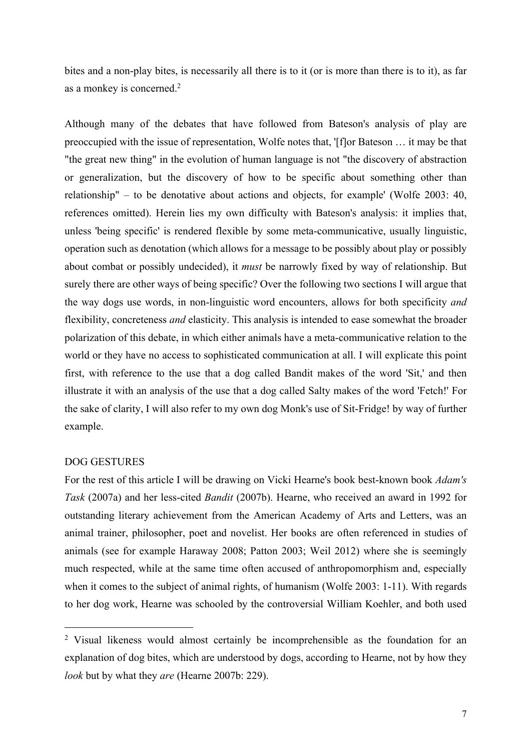bites and a non-play bites, is necessarily all there is to it (or is more than there is to it), as far as a monkey is concerned.2

Although many of the debates that have followed from Bateson's analysis of play are preoccupied with the issue of representation, Wolfe notes that, '[f]or Bateson … it may be that "the great new thing" in the evolution of human language is not "the discovery of abstraction or generalization, but the discovery of how to be specific about something other than relationship" – to be denotative about actions and objects, for example' (Wolfe 2003: 40, references omitted). Herein lies my own difficulty with Bateson's analysis: it implies that, unless 'being specific' is rendered flexible by some meta-communicative, usually linguistic, operation such as denotation (which allows for a message to be possibly about play or possibly about combat or possibly undecided), it *must* be narrowly fixed by way of relationship. But surely there are other ways of being specific? Over the following two sections I will argue that the way dogs use words, in non-linguistic word encounters, allows for both specificity *and*  flexibility, concreteness *and* elasticity. This analysis is intended to ease somewhat the broader polarization of this debate, in which either animals have a meta-communicative relation to the world or they have no access to sophisticated communication at all. I will explicate this point first, with reference to the use that a dog called Bandit makes of the word 'Sit,' and then illustrate it with an analysis of the use that a dog called Salty makes of the word 'Fetch!' For the sake of clarity, I will also refer to my own dog Monk's use of Sit-Fridge! by way of further example.

#### DOG GESTURES

1

For the rest of this article I will be drawing on Vicki Hearne's book best-known book *Adam's Task* (2007a) and her less-cited *Bandit* (2007b). Hearne, who received an award in 1992 for outstanding literary achievement from the American Academy of Arts and Letters, was an animal trainer, philosopher, poet and novelist. Her books are often referenced in studies of animals (see for example Haraway 2008; Patton 2003; Weil 2012) where she is seemingly much respected, while at the same time often accused of anthropomorphism and, especially when it comes to the subject of animal rights, of humanism (Wolfe 2003: 1-11). With regards to her dog work, Hearne was schooled by the controversial William Koehler, and both used

<sup>2</sup> Visual likeness would almost certainly be incomprehensible as the foundation for an explanation of dog bites, which are understood by dogs, according to Hearne, not by how they *look* but by what they *are* (Hearne 2007b: 229).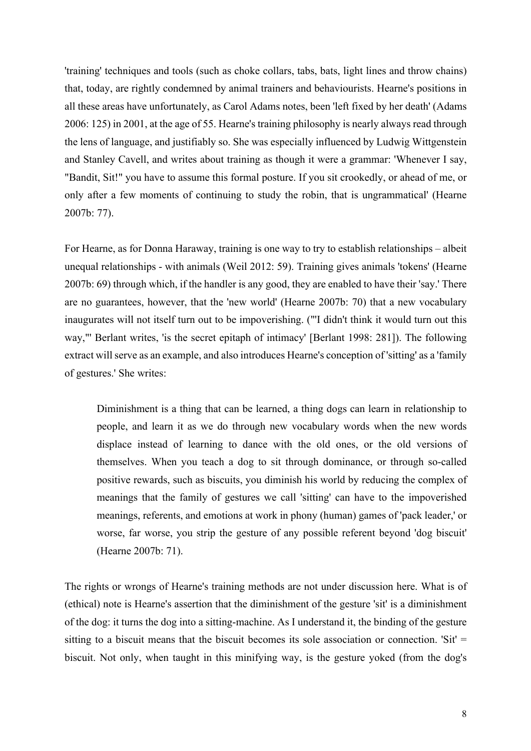'training' techniques and tools (such as choke collars, tabs, bats, light lines and throw chains) that, today, are rightly condemned by animal trainers and behaviourists. Hearne's positions in all these areas have unfortunately, as Carol Adams notes, been 'left fixed by her death' (Adams 2006: 125) in 2001, at the age of 55. Hearne's training philosophy is nearly always read through the lens of language, and justifiably so. She was especially influenced by Ludwig Wittgenstein and Stanley Cavell, and writes about training as though it were a grammar: 'Whenever I say, "Bandit, Sit!" you have to assume this formal posture. If you sit crookedly, or ahead of me, or only after a few moments of continuing to study the robin, that is ungrammatical' (Hearne 2007b: 77).

For Hearne, as for Donna Haraway, training is one way to try to establish relationships – albeit unequal relationships - with animals (Weil 2012: 59). Training gives animals 'tokens' (Hearne 2007b: 69) through which, if the handler is any good, they are enabled to have their 'say.' There are no guarantees, however, that the 'new world' (Hearne 2007b: 70) that a new vocabulary inaugurates will not itself turn out to be impoverishing. ("'I didn't think it would turn out this way,"' Berlant writes, 'is the secret epitaph of intimacy' [Berlant 1998: 281]). The following extract will serve as an example, and also introduces Hearne's conception of 'sitting' as a 'family of gestures.' She writes:

Diminishment is a thing that can be learned, a thing dogs can learn in relationship to people, and learn it as we do through new vocabulary words when the new words displace instead of learning to dance with the old ones, or the old versions of themselves. When you teach a dog to sit through dominance, or through so-called positive rewards, such as biscuits, you diminish his world by reducing the complex of meanings that the family of gestures we call 'sitting' can have to the impoverished meanings, referents, and emotions at work in phony (human) games of 'pack leader,' or worse, far worse, you strip the gesture of any possible referent beyond 'dog biscuit' (Hearne 2007b: 71).

The rights or wrongs of Hearne's training methods are not under discussion here. What is of (ethical) note is Hearne's assertion that the diminishment of the gesture 'sit' is a diminishment of the dog: it turns the dog into a sitting-machine. As I understand it, the binding of the gesture sitting to a biscuit means that the biscuit becomes its sole association or connection. 'Sit'  $=$ biscuit. Not only, when taught in this minifying way, is the gesture yoked (from the dog's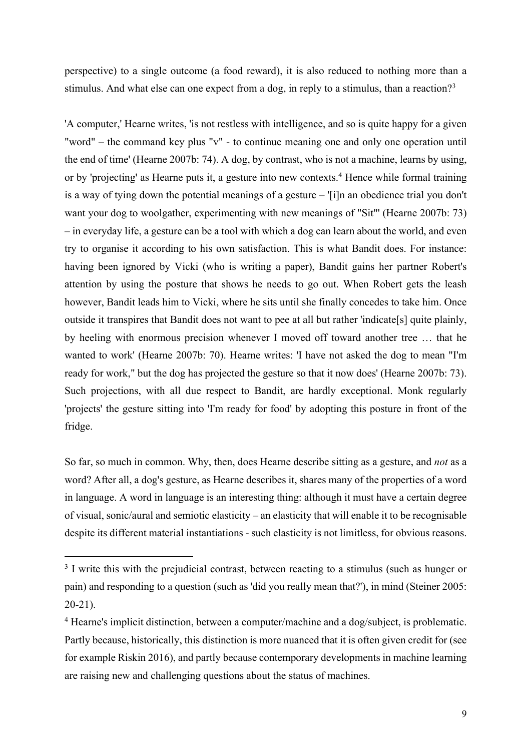perspective) to a single outcome (a food reward), it is also reduced to nothing more than a stimulus. And what else can one expect from a dog, in reply to a stimulus, than a reaction?<sup>3</sup>

'A computer,' Hearne writes, 'is not restless with intelligence, and so is quite happy for a given "word" – the command key plus "v" - to continue meaning one and only one operation until the end of time' (Hearne 2007b: 74). A dog, by contrast, who is not a machine, learns by using, or by 'projecting' as Hearne puts it, a gesture into new contexts.<sup>4</sup> Hence while formal training is a way of tying down the potential meanings of a gesture – '[i]n an obedience trial you don't want your dog to woolgather, experimenting with new meanings of "Sit"' (Hearne 2007b: 73) – in everyday life, a gesture can be a tool with which a dog can learn about the world, and even try to organise it according to his own satisfaction. This is what Bandit does. For instance: having been ignored by Vicki (who is writing a paper), Bandit gains her partner Robert's attention by using the posture that shows he needs to go out. When Robert gets the leash however, Bandit leads him to Vicki, where he sits until she finally concedes to take him. Once outside it transpires that Bandit does not want to pee at all but rather 'indicate[s] quite plainly, by heeling with enormous precision whenever I moved off toward another tree … that he wanted to work' (Hearne 2007b: 70). Hearne writes: 'I have not asked the dog to mean "I'm ready for work," but the dog has projected the gesture so that it now does' (Hearne 2007b: 73). Such projections, with all due respect to Bandit, are hardly exceptional. Monk regularly 'projects' the gesture sitting into 'I'm ready for food' by adopting this posture in front of the fridge.

So far, so much in common. Why, then, does Hearne describe sitting as a gesture, and *not* as a word? After all, a dog's gesture, as Hearne describes it, shares many of the properties of a word in language. A word in language is an interesting thing: although it must have a certain degree of visual, sonic/aural and semiotic elasticity – an elasticity that will enable it to be recognisable despite its different material instantiations - such elasticity is not limitless, for obvious reasons.

 $\overline{a}$ 

<sup>&</sup>lt;sup>3</sup> I write this with the prejudicial contrast, between reacting to a stimulus (such as hunger or pain) and responding to a question (such as 'did you really mean that?'), in mind (Steiner 2005: 20-21).

<sup>4</sup> Hearne's implicit distinction, between a computer/machine and a dog/subject, is problematic. Partly because, historically, this distinction is more nuanced that it is often given credit for (see for example Riskin 2016), and partly because contemporary developments in machine learning are raising new and challenging questions about the status of machines.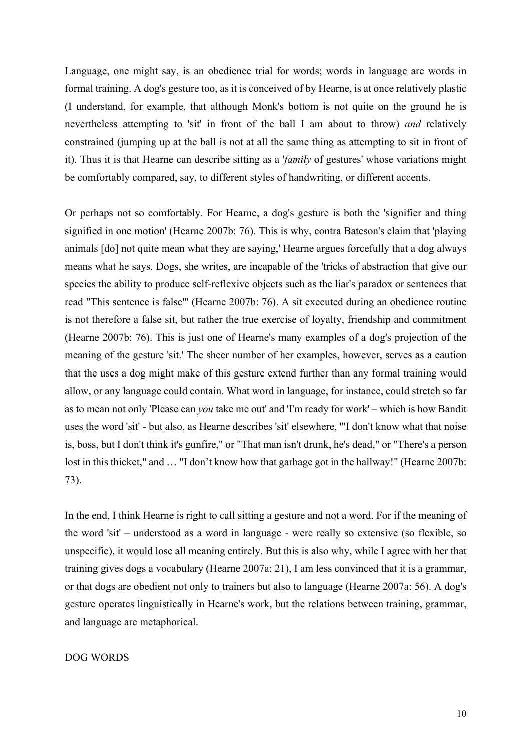Language, one might say, is an obedience trial for words; words in language are words in formal training. A dog's gesture too, as it is conceived of by Hearne, is at once relatively plastic (I understand, for example, that although Monk's bottom is not quite on the ground he is nevertheless attempting to 'sit' in front of the ball I am about to throw) *and* relatively constrained (jumping up at the ball is not at all the same thing as attempting to sit in front of it). Thus it is that Hearne can describe sitting as a '*family* of gestures' whose variations might be comfortably compared, say, to different styles of handwriting, or different accents.

Or perhaps not so comfortably. For Hearne, a dog's gesture is both the 'signifier and thing signified in one motion' (Hearne 2007b: 76). This is why, contra Bateson's claim that 'playing animals [do] not quite mean what they are saying,' Hearne argues forcefully that a dog always means what he says. Dogs, she writes, are incapable of the 'tricks of abstraction that give our species the ability to produce self-reflexive objects such as the liar's paradox or sentences that read "This sentence is false"' (Hearne 2007b: 76). A sit executed during an obedience routine is not therefore a false sit, but rather the true exercise of loyalty, friendship and commitment (Hearne 2007b: 76). This is just one of Hearne's many examples of a dog's projection of the meaning of the gesture 'sit.' The sheer number of her examples, however, serves as a caution that the uses a dog might make of this gesture extend further than any formal training would allow, or any language could contain. What word in language, for instance, could stretch so far as to mean not only 'Please can *you* take me out' and 'I'm ready for work' – which is how Bandit uses the word 'sit' - but also, as Hearne describes 'sit' elsewhere, '"I don't know what that noise is, boss, but I don't think it's gunfire," or "That man isn't drunk, he's dead," or "There's a person lost in this thicket," and ... "I don't know how that garbage got in the hallway!" (Hearne 2007b: 73).

In the end, I think Hearne is right to call sitting a gesture and not a word. For if the meaning of the word 'sit' – understood as a word in language - were really so extensive (so flexible, so unspecific), it would lose all meaning entirely. But this is also why, while I agree with her that training gives dogs a vocabulary (Hearne 2007a: 21), I am less convinced that it is a grammar, or that dogs are obedient not only to trainers but also to language (Hearne 2007a: 56). A dog's gesture operates linguistically in Hearne's work, but the relations between training, grammar, and language are metaphorical.

#### DOG WORDS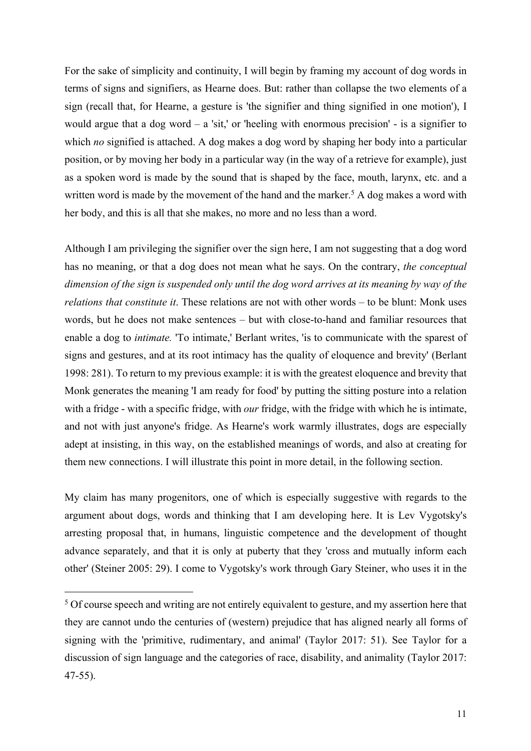For the sake of simplicity and continuity, I will begin by framing my account of dog words in terms of signs and signifiers, as Hearne does. But: rather than collapse the two elements of a sign (recall that, for Hearne, a gesture is 'the signifier and thing signified in one motion'), I would argue that a dog word – a 'sit,' or 'heeling with enormous precision' - is a signifier to which *no* signified is attached. A dog makes a dog word by shaping her body into a particular position, or by moving her body in a particular way (in the way of a retrieve for example), just as a spoken word is made by the sound that is shaped by the face, mouth, larynx, etc. and a written word is made by the movement of the hand and the marker.<sup>5</sup> A dog makes a word with her body, and this is all that she makes, no more and no less than a word.

Although I am privileging the signifier over the sign here, I am not suggesting that a dog word has no meaning, or that a dog does not mean what he says. On the contrary, *the conceptual dimension of the sign is suspended only until the dog word arrives at its meaning by way of the relations that constitute it*. These relations are not with other words – to be blunt: Monk uses words, but he does not make sentences – but with close-to-hand and familiar resources that enable a dog to *intimate.* 'To intimate,' Berlant writes, 'is to communicate with the sparest of signs and gestures, and at its root intimacy has the quality of eloquence and brevity' (Berlant 1998: 281). To return to my previous example: it is with the greatest eloquence and brevity that Monk generates the meaning 'I am ready for food' by putting the sitting posture into a relation with a fridge - with a specific fridge, with *our* fridge, with the fridge with which he is intimate, and not with just anyone's fridge. As Hearne's work warmly illustrates, dogs are especially adept at insisting, in this way, on the established meanings of words, and also at creating for them new connections. I will illustrate this point in more detail, in the following section.

My claim has many progenitors, one of which is especially suggestive with regards to the argument about dogs, words and thinking that I am developing here. It is Lev Vygotsky's arresting proposal that, in humans, linguistic competence and the development of thought advance separately, and that it is only at puberty that they 'cross and mutually inform each other' (Steiner 2005: 29). I come to Vygotsky's work through Gary Steiner, who uses it in the

1

<sup>&</sup>lt;sup>5</sup> Of course speech and writing are not entirely equivalent to gesture, and my assertion here that they are cannot undo the centuries of (western) prejudice that has aligned nearly all forms of signing with the 'primitive, rudimentary, and animal' (Taylor 2017: 51). See Taylor for a discussion of sign language and the categories of race, disability, and animality (Taylor 2017: 47-55).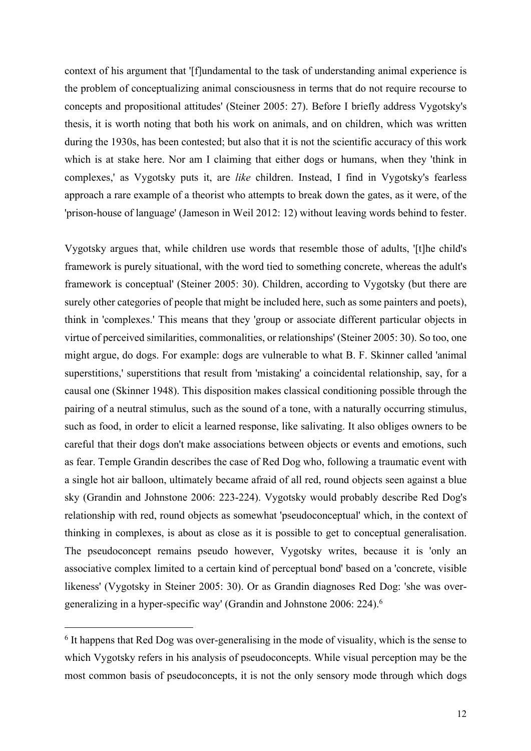context of his argument that '[f]undamental to the task of understanding animal experience is the problem of conceptualizing animal consciousness in terms that do not require recourse to concepts and propositional attitudes' (Steiner 2005: 27). Before I briefly address Vygotsky's thesis, it is worth noting that both his work on animals, and on children, which was written during the 1930s, has been contested; but also that it is not the scientific accuracy of this work which is at stake here. Nor am I claiming that either dogs or humans, when they 'think in complexes,' as Vygotsky puts it, are *like* children. Instead, I find in Vygotsky's fearless approach a rare example of a theorist who attempts to break down the gates, as it were, of the 'prison-house of language' (Jameson in Weil 2012: 12) without leaving words behind to fester.

Vygotsky argues that, while children use words that resemble those of adults, '[t]he child's framework is purely situational, with the word tied to something concrete, whereas the adult's framework is conceptual' (Steiner 2005: 30). Children, according to Vygotsky (but there are surely other categories of people that might be included here, such as some painters and poets), think in 'complexes.' This means that they 'group or associate different particular objects in virtue of perceived similarities, commonalities, or relationships' (Steiner 2005: 30). So too, one might argue, do dogs. For example: dogs are vulnerable to what B. F. Skinner called 'animal superstitions,' superstitions that result from 'mistaking' a coincidental relationship, say, for a causal one (Skinner 1948). This disposition makes classical conditioning possible through the pairing of a neutral stimulus, such as the sound of a tone, with a naturally occurring stimulus, such as food, in order to elicit a learned response, like salivating. It also obliges owners to be careful that their dogs don't make associations between objects or events and emotions, such as fear. Temple Grandin describes the case of Red Dog who, following a traumatic event with a single hot air balloon, ultimately became afraid of all red, round objects seen against a blue sky (Grandin and Johnstone 2006: 223-224). Vygotsky would probably describe Red Dog's relationship with red, round objects as somewhat 'pseudoconceptual' which, in the context of thinking in complexes, is about as close as it is possible to get to conceptual generalisation. The pseudoconcept remains pseudo however, Vygotsky writes, because it is 'only an associative complex limited to a certain kind of perceptual bond' based on a 'concrete, visible likeness' (Vygotsky in Steiner 2005: 30). Or as Grandin diagnoses Red Dog: 'she was overgeneralizing in a hyper-specific way' (Grandin and Johnstone 2006: 224).6

1

<sup>&</sup>lt;sup>6</sup> It happens that Red Dog was over-generalising in the mode of visuality, which is the sense to which Vygotsky refers in his analysis of pseudoconcepts. While visual perception may be the most common basis of pseudoconcepts, it is not the only sensory mode through which dogs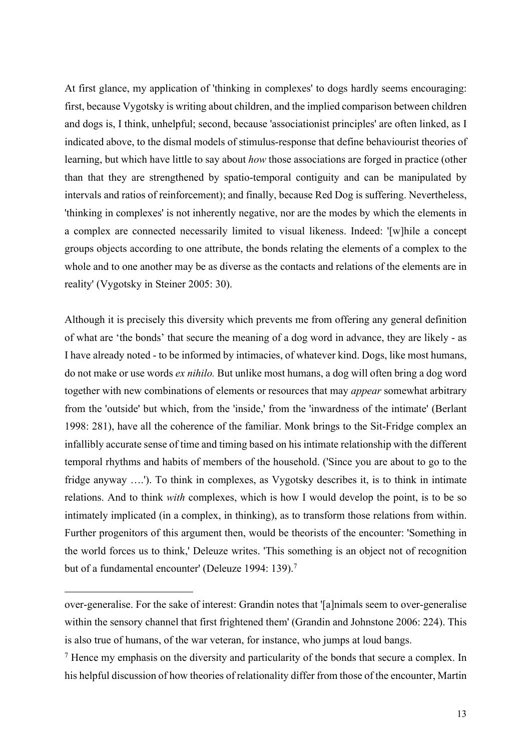At first glance, my application of 'thinking in complexes' to dogs hardly seems encouraging: first, because Vygotsky is writing about children, and the implied comparison between children and dogs is, I think, unhelpful; second, because 'associationist principles' are often linked, as I indicated above, to the dismal models of stimulus-response that define behaviourist theories of learning, but which have little to say about *how* those associations are forged in practice (other than that they are strengthened by spatio-temporal contiguity and can be manipulated by intervals and ratios of reinforcement); and finally, because Red Dog is suffering. Nevertheless, 'thinking in complexes' is not inherently negative, nor are the modes by which the elements in a complex are connected necessarily limited to visual likeness. Indeed: '[w]hile a concept groups objects according to one attribute, the bonds relating the elements of a complex to the whole and to one another may be as diverse as the contacts and relations of the elements are in reality' (Vygotsky in Steiner 2005: 30).

Although it is precisely this diversity which prevents me from offering any general definition of what are 'the bonds' that secure the meaning of a dog word in advance, they are likely - as I have already noted - to be informed by intimacies, of whatever kind. Dogs, like most humans, do not make or use words *ex nihilo.* But unlike most humans, a dog will often bring a dog word together with new combinations of elements or resources that may *appear* somewhat arbitrary from the 'outside' but which, from the 'inside,' from the 'inwardness of the intimate' (Berlant 1998: 281), have all the coherence of the familiar. Monk brings to the Sit-Fridge complex an infallibly accurate sense of time and timing based on his intimate relationship with the different temporal rhythms and habits of members of the household. ('Since you are about to go to the fridge anyway ….'). To think in complexes, as Vygotsky describes it, is to think in intimate relations. And to think *with* complexes, which is how I would develop the point, is to be so intimately implicated (in a complex, in thinking), as to transform those relations from within. Further progenitors of this argument then, would be theorists of the encounter: 'Something in the world forces us to think,' Deleuze writes. 'This something is an object not of recognition but of a fundamental encounter' (Deleuze 1994: 139).7

1

over-generalise. For the sake of interest: Grandin notes that '[a]nimals seem to over-generalise within the sensory channel that first frightened them' (Grandin and Johnstone 2006: 224). This is also true of humans, of the war veteran, for instance, who jumps at loud bangs.

<sup>&</sup>lt;sup>7</sup> Hence my emphasis on the diversity and particularity of the bonds that secure a complex. In his helpful discussion of how theories of relationality differ from those of the encounter, Martin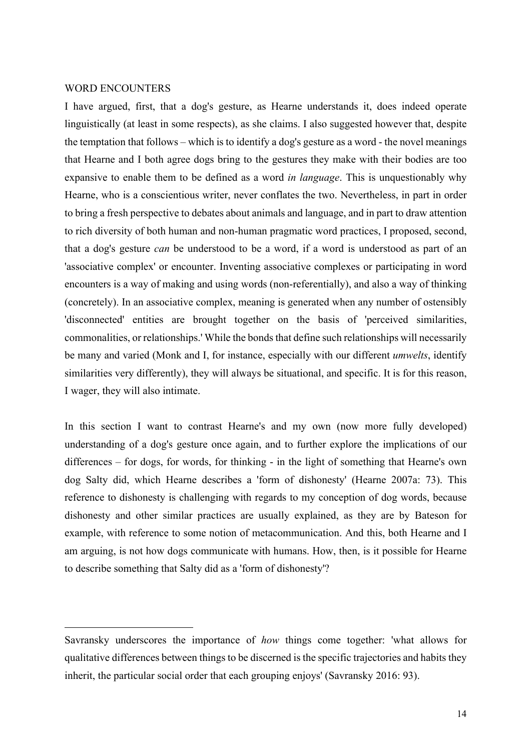#### WORD ENCOUNTERS

1

I have argued, first, that a dog's gesture, as Hearne understands it, does indeed operate linguistically (at least in some respects), as she claims. I also suggested however that, despite the temptation that follows – which is to identify a dog's gesture as a word - the novel meanings that Hearne and I both agree dogs bring to the gestures they make with their bodies are too expansive to enable them to be defined as a word *in language*. This is unquestionably why Hearne, who is a conscientious writer, never conflates the two. Nevertheless, in part in order to bring a fresh perspective to debates about animals and language, and in part to draw attention to rich diversity of both human and non-human pragmatic word practices, I proposed, second, that a dog's gesture *can* be understood to be a word, if a word is understood as part of an 'associative complex' or encounter. Inventing associative complexes or participating in word encounters is a way of making and using words (non-referentially), and also a way of thinking (concretely). In an associative complex, meaning is generated when any number of ostensibly 'disconnected' entities are brought together on the basis of 'perceived similarities, commonalities, or relationships.' While the bonds that define such relationships will necessarily be many and varied (Monk and I, for instance, especially with our different *umwelts*, identify similarities very differently), they will always be situational, and specific. It is for this reason, I wager, they will also intimate.

In this section I want to contrast Hearne's and my own (now more fully developed) understanding of a dog's gesture once again, and to further explore the implications of our differences – for dogs, for words, for thinking - in the light of something that Hearne's own dog Salty did, which Hearne describes a 'form of dishonesty' (Hearne 2007a: 73). This reference to dishonesty is challenging with regards to my conception of dog words, because dishonesty and other similar practices are usually explained, as they are by Bateson for example, with reference to some notion of metacommunication. And this, both Hearne and I am arguing, is not how dogs communicate with humans. How, then, is it possible for Hearne to describe something that Salty did as a 'form of dishonesty'?

Savransky underscores the importance of *how* things come together: 'what allows for qualitative differences between things to be discerned is the specific trajectories and habits they inherit, the particular social order that each grouping enjoys' (Savransky 2016: 93).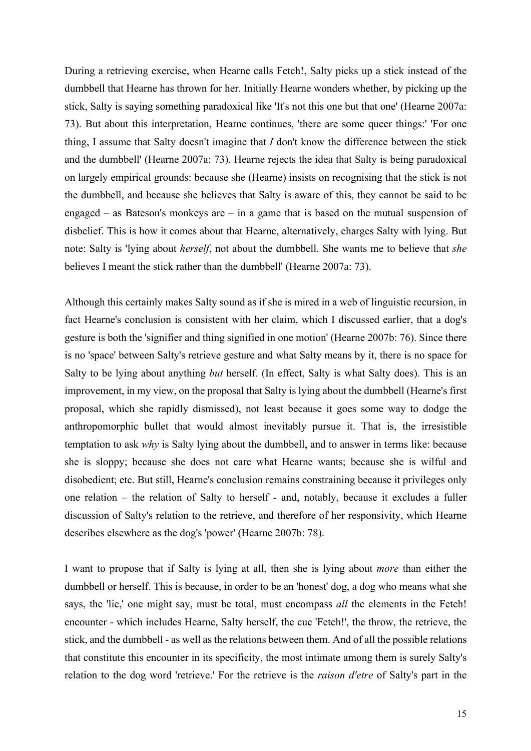During a retrieving exercise, when Hearne calls Fetch!, Salty picks up a stick instead of the dumbbell that Hearne has thrown for her. Initially Hearne wonders whether, by picking up the stick, Salty is saying something paradoxical like 'It's not this one but that one' (Hearne 2007a: 73). But about this interpretation, Hearne continues, 'there are some queer things:' 'For one thing, I assume that Salty doesn't imagine that *I* don't know the difference between the stick and the dumbbell' (Hearne 2007a: 73). Hearne rejects the idea that Salty is being paradoxical on largely empirical grounds: because she (Hearne) insists on recognising that the stick is not the dumbbell, and because she believes that Salty is aware of this, they cannot be said to be engaged – as Bateson's monkeys are – in a game that is based on the mutual suspension of disbelief. This is how it comes about that Hearne, alternatively, charges Salty with lying. But note: Salty is 'lying about *herself*, not about the dumbbell. She wants me to believe that *she*  believes I meant the stick rather than the dumbbell' (Hearne 2007a: 73).

Although this certainly makes Salty sound as if she is mired in a web of linguistic recursion, in fact Hearne's conclusion is consistent with her claim, which I discussed earlier, that a dog's gesture is both the 'signifier and thing signified in one motion' (Hearne 2007b: 76). Since there is no 'space' between Salty's retrieve gesture and what Salty means by it, there is no space for Salty to be lying about anything *but* herself. (In effect, Salty is what Salty does). This is an improvement, in my view, on the proposal that Salty is lying about the dumbbell (Hearne's first proposal, which she rapidly dismissed), not least because it goes some way to dodge the anthropomorphic bullet that would almost inevitably pursue it. That is, the irresistible temptation to ask *why* is Salty lying about the dumbbell, and to answer in terms like: because she is sloppy; because she does not care what Hearne wants; because she is wilful and disobedient; etc. But still, Hearne's conclusion remains constraining because it privileges only one relation – the relation of Salty to herself - and, notably, because it excludes a fuller discussion of Salty's relation to the retrieve, and therefore of her responsivity, which Hearne describes elsewhere as the dog's 'power' (Hearne 2007b: 78).

I want to propose that if Salty is lying at all, then she is lying about *more* than either the dumbbell or herself. This is because, in order to be an 'honest' dog, a dog who means what she says, the 'lie,' one might say, must be total, must encompass *all* the elements in the Fetch! encounter - which includes Hearne, Salty herself, the cue 'Fetch!', the throw, the retrieve, the stick, and the dumbbell - as well as the relations between them. And of all the possible relations that constitute this encounter in its specificity, the most intimate among them is surely Salty's relation to the dog word 'retrieve.' For the retrieve is the *raison d'etre* of Salty's part in the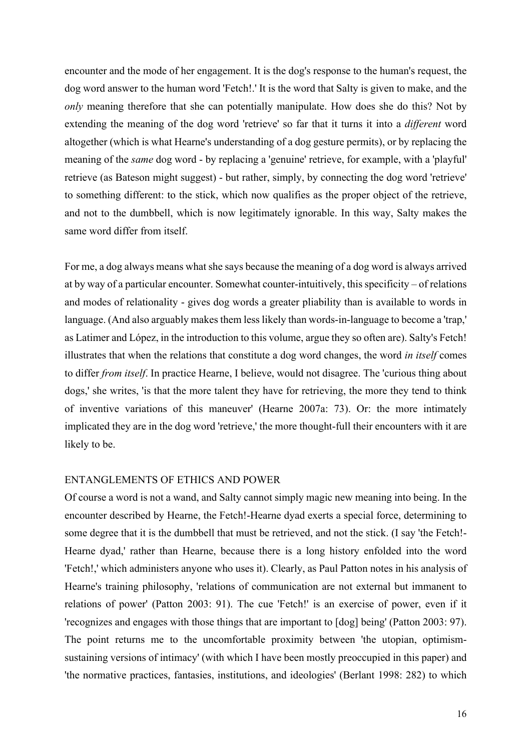encounter and the mode of her engagement. It is the dog's response to the human's request, the dog word answer to the human word 'Fetch!.' It is the word that Salty is given to make, and the *only* meaning therefore that she can potentially manipulate. How does she do this? Not by extending the meaning of the dog word 'retrieve' so far that it turns it into a *different* word altogether (which is what Hearne's understanding of a dog gesture permits), or by replacing the meaning of the *same* dog word - by replacing a 'genuine' retrieve, for example, with a 'playful' retrieve (as Bateson might suggest) - but rather, simply, by connecting the dog word 'retrieve' to something different: to the stick, which now qualifies as the proper object of the retrieve, and not to the dumbbell, which is now legitimately ignorable. In this way, Salty makes the same word differ from itself.

For me, a dog always means what she says because the meaning of a dog word is always arrived at by way of a particular encounter. Somewhat counter-intuitively, this specificity – of relations and modes of relationality - gives dog words a greater pliability than is available to words in language. (And also arguably makes them less likely than words-in-language to become a 'trap,' as Latimer and López, in the introduction to this volume, argue they so often are). Salty's Fetch! illustrates that when the relations that constitute a dog word changes, the word *in itself* comes to differ *from itself*. In practice Hearne, I believe, would not disagree. The 'curious thing about dogs,' she writes, 'is that the more talent they have for retrieving, the more they tend to think of inventive variations of this maneuver' (Hearne 2007a: 73). Or: the more intimately implicated they are in the dog word 'retrieve,' the more thought-full their encounters with it are likely to be.

#### ENTANGLEMENTS OF ETHICS AND POWER

Of course a word is not a wand, and Salty cannot simply magic new meaning into being. In the encounter described by Hearne, the Fetch!-Hearne dyad exerts a special force, determining to some degree that it is the dumbbell that must be retrieved, and not the stick. (I say 'the Fetch!- Hearne dyad,' rather than Hearne, because there is a long history enfolded into the word 'Fetch!,' which administers anyone who uses it). Clearly, as Paul Patton notes in his analysis of Hearne's training philosophy, 'relations of communication are not external but immanent to relations of power' (Patton 2003: 91). The cue 'Fetch!' is an exercise of power, even if it 'recognizes and engages with those things that are important to [dog] being' (Patton 2003: 97). The point returns me to the uncomfortable proximity between 'the utopian, optimismsustaining versions of intimacy' (with which I have been mostly preoccupied in this paper) and 'the normative practices, fantasies, institutions, and ideologies' (Berlant 1998: 282) to which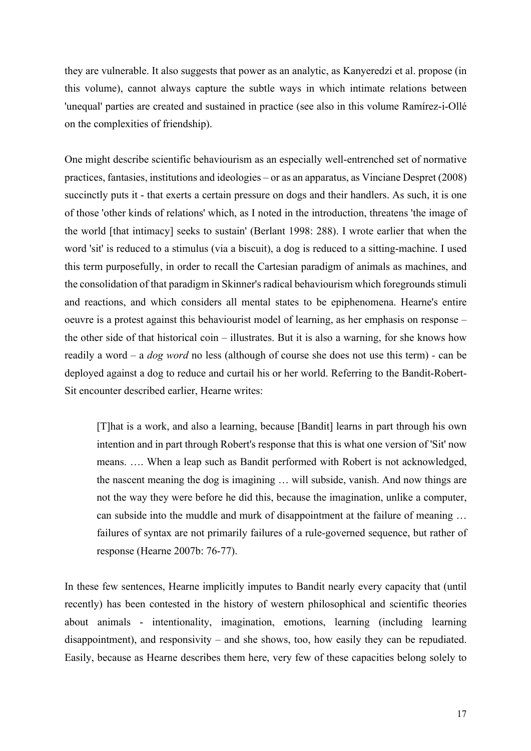they are vulnerable. It also suggests that power as an analytic, as Kanyeredzi et al. propose (in this volume), cannot always capture the subtle ways in which intimate relations between 'unequal' parties are created and sustained in practice (see also in this volume Ramírez-i-Ollé on the complexities of friendship).

One might describe scientific behaviourism as an especially well-entrenched set of normative practices, fantasies, institutions and ideologies – or as an apparatus, as Vinciane Despret (2008) succinctly puts it - that exerts a certain pressure on dogs and their handlers. As such, it is one of those 'other kinds of relations' which, as I noted in the introduction, threatens 'the image of the world [that intimacy] seeks to sustain' (Berlant 1998: 288). I wrote earlier that when the word 'sit' is reduced to a stimulus (via a biscuit), a dog is reduced to a sitting-machine. I used this term purposefully, in order to recall the Cartesian paradigm of animals as machines, and the consolidation of that paradigm in Skinner's radical behaviourism which foregrounds stimuli and reactions, and which considers all mental states to be epiphenomena. Hearne's entire oeuvre is a protest against this behaviourist model of learning, as her emphasis on response – the other side of that historical coin – illustrates. But it is also a warning, for she knows how readily a word – a *dog word* no less (although of course she does not use this term) *-* can be deployed against a dog to reduce and curtail his or her world. Referring to the Bandit-Robert-Sit encounter described earlier, Hearne writes:

[T]hat is a work, and also a learning, because [Bandit] learns in part through his own intention and in part through Robert's response that this is what one version of 'Sit' now means. …. When a leap such as Bandit performed with Robert is not acknowledged, the nascent meaning the dog is imagining … will subside, vanish. And now things are not the way they were before he did this, because the imagination, unlike a computer, can subside into the muddle and murk of disappointment at the failure of meaning … failures of syntax are not primarily failures of a rule-governed sequence, but rather of response (Hearne 2007b: 76-77).

In these few sentences, Hearne implicitly imputes to Bandit nearly every capacity that (until recently) has been contested in the history of western philosophical and scientific theories about animals - intentionality, imagination, emotions, learning (including learning disappointment), and responsivity – and she shows, too, how easily they can be repudiated. Easily, because as Hearne describes them here, very few of these capacities belong solely to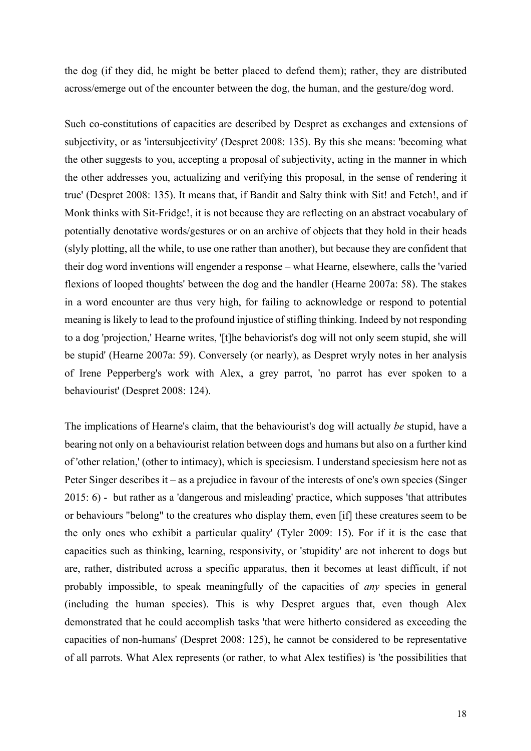the dog (if they did, he might be better placed to defend them); rather, they are distributed across/emerge out of the encounter between the dog, the human, and the gesture/dog word.

Such co-constitutions of capacities are described by Despret as exchanges and extensions of subjectivity, or as 'intersubjectivity' (Despret 2008: 135). By this she means: 'becoming what the other suggests to you, accepting a proposal of subjectivity, acting in the manner in which the other addresses you, actualizing and verifying this proposal, in the sense of rendering it true' (Despret 2008: 135). It means that, if Bandit and Salty think with Sit! and Fetch!, and if Monk thinks with Sit-Fridge!, it is not because they are reflecting on an abstract vocabulary of potentially denotative words/gestures or on an archive of objects that they hold in their heads (slyly plotting, all the while, to use one rather than another), but because they are confident that their dog word inventions will engender a response – what Hearne, elsewhere, calls the 'varied flexions of looped thoughts' between the dog and the handler (Hearne 2007a: 58). The stakes in a word encounter are thus very high, for failing to acknowledge or respond to potential meaning is likely to lead to the profound injustice of stifling thinking. Indeed by not responding to a dog 'projection,' Hearne writes, '[t]he behaviorist's dog will not only seem stupid, she will be stupid' (Hearne 2007a: 59). Conversely (or nearly), as Despret wryly notes in her analysis of Irene Pepperberg's work with Alex, a grey parrot, 'no parrot has ever spoken to a behaviourist' (Despret 2008: 124).

The implications of Hearne's claim, that the behaviourist's dog will actually *be* stupid, have a bearing not only on a behaviourist relation between dogs and humans but also on a further kind of 'other relation,' (other to intimacy), which is speciesism. I understand speciesism here not as Peter Singer describes it – as a prejudice in favour of the interests of one's own species (Singer 2015: 6) - but rather as a 'dangerous and misleading' practice, which supposes 'that attributes or behaviours "belong" to the creatures who display them, even [if] these creatures seem to be the only ones who exhibit a particular quality' (Tyler 2009: 15). For if it is the case that capacities such as thinking, learning, responsivity, or 'stupidity' are not inherent to dogs but are, rather, distributed across a specific apparatus, then it becomes at least difficult, if not probably impossible, to speak meaningfully of the capacities of *any* species in general (including the human species). This is why Despret argues that, even though Alex demonstrated that he could accomplish tasks 'that were hitherto considered as exceeding the capacities of non-humans' (Despret 2008: 125), he cannot be considered to be representative of all parrots. What Alex represents (or rather, to what Alex testifies) is 'the possibilities that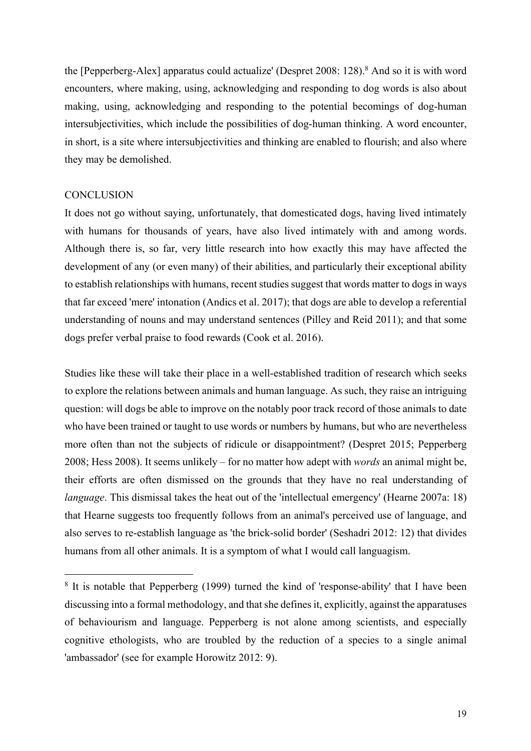the [Pepperberg-Alex] apparatus could actualize' (Despret 2008: 128).<sup>8</sup> And so it is with word encounters, where making, using, acknowledging and responding to dog words is also about making, using, acknowledging and responding to the potential becomings of dog-human intersubjectivities, which include the possibilities of dog-human thinking. A word encounter, in short, is a site where intersubjectivities and thinking are enabled to flourish; and also where they may be demolished.

#### **CONCLUSION**

1

It does not go without saying, unfortunately, that domesticated dogs, having lived intimately with humans for thousands of years, have also lived intimately with and among words. Although there is, so far, very little research into how exactly this may have affected the development of any (or even many) of their abilities, and particularly their exceptional ability to establish relationships with humans, recent studies suggest that words matter to dogs in ways that far exceed 'mere' intonation (Andics et al. 2017); that dogs are able to develop a referential understanding of nouns and may understand sentences (Pilley and Reid 2011); and that some dogs prefer verbal praise to food rewards (Cook et al. 2016).

Studies like these will take their place in a well-established tradition of research which seeks to explore the relations between animals and human language. As such, they raise an intriguing question: will dogs be able to improve on the notably poor track record of those animals to date who have been trained or taught to use words or numbers by humans, but who are nevertheless more often than not the subjects of ridicule or disappointment? (Despret 2015; Pepperberg 2008; Hess 2008). It seems unlikely – for no matter how adept with *words* an animal might be, their efforts are often dismissed on the grounds that they have no real understanding of *language*. This dismissal takes the heat out of the 'intellectual emergency' (Hearne 2007a: 18) that Hearne suggests too frequently follows from an animal's perceived use of language, and also serves to re-establish language as 'the brick-solid border' (Seshadri 2012: 12) that divides humans from all other animals. It is a symptom of what I would call languagism.

 $8$  It is notable that Pepperberg (1999) turned the kind of 'response-ability' that I have been discussing into a formal methodology, and that she defines it, explicitly, against the apparatuses of behaviourism and language. Pepperberg is not alone among scientists, and especially cognitive ethologists, who are troubled by the reduction of a species to a single animal 'ambassador' (see for example Horowitz 2012: 9).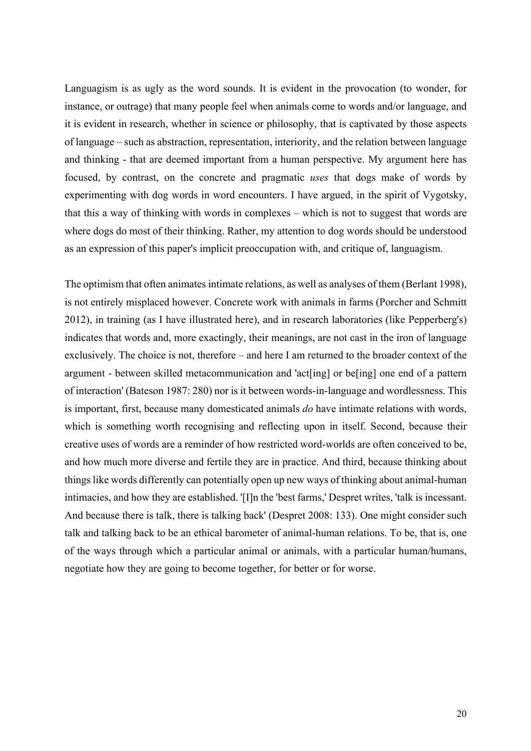Languagism is as ugly as the word sounds. It is evident in the provocation (to wonder, for instance, or outrage) that many people feel when animals come to words and/or language, and it is evident in research, whether in science or philosophy, that is captivated by those aspects of language – such as abstraction, representation, interiority, and the relation between language and thinking - that are deemed important from a human perspective. My argument here has focused, by contrast, on the concrete and pragmatic *uses* that dogs make of words by experimenting with dog words in word encounters. I have argued, in the spirit of Vygotsky, that this a way of thinking with words in complexes – which is not to suggest that words are where dogs do most of their thinking. Rather, my attention to dog words should be understood as an expression of this paper's implicit preoccupation with, and critique of, languagism.

The optimism that often animates intimate relations, as well as analyses of them (Berlant 1998), is not entirely misplaced however. Concrete work with animals in farms (Porcher and Schmitt 2012), in training (as I have illustrated here), and in research laboratories (like Pepperberg's) indicates that words and, more exactingly, their meanings, are not cast in the iron of language exclusively. The choice is not, therefore – and here I am returned to the broader context of the argument - between skilled metacommunication and 'act[ing] or be[ing] one end of a pattern of interaction' (Bateson 1987: 280) nor is it between words-in-language and wordlessness. This is important, first, because many domesticated animals *do* have intimate relations with words, which is something worth recognising and reflecting upon in itself. Second, because their creative uses of words are a reminder of how restricted word-worlds are often conceived to be, and how much more diverse and fertile they are in practice. And third, because thinking about things like words differently can potentially open up new ways of thinking about animal-human intimacies, and how they are established. '[I]n the 'best farms,' Despret writes, 'talk is incessant. And because there is talk, there is talking back' (Despret 2008: 133). One might consider such talk and talking back to be an ethical barometer of animal-human relations. To be, that is, one of the ways through which a particular animal or animals, with a particular human/humans, negotiate how they are going to become together, for better or for worse.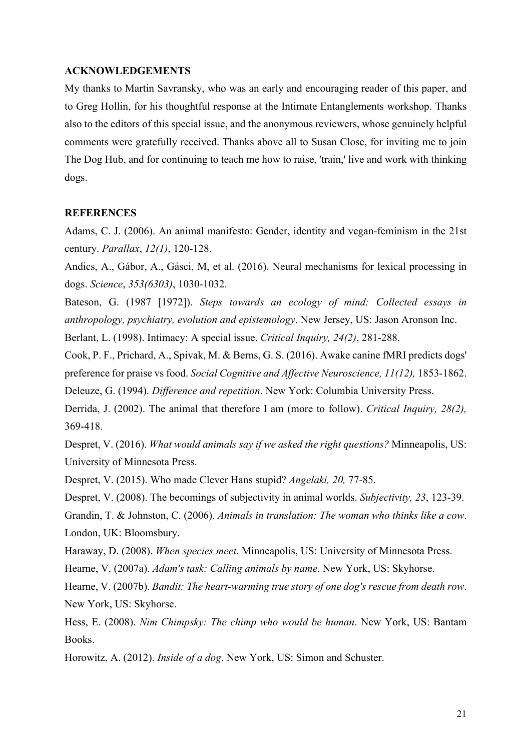#### **ACKNOWLEDGEMENTS**

My thanks to Martin Savransky, who was an early and encouraging reader of this paper, and to Greg Hollin, for his thoughtful response at the Intimate Entanglements workshop. Thanks also to the editors of this special issue, and the anonymous reviewers, whose genuinely helpful comments were gratefully received. Thanks above all to Susan Close, for inviting me to join The Dog Hub, and for continuing to teach me how to raise, 'train,' live and work with thinking dogs.

#### **REFERENCES**

Adams, C. J. (2006). An animal manifesto: Gender, identity and vegan-feminism in the 21st century. *Parallax*, *12(1)*, 120-128.

Andics, A., Gábor, A., Gásci, M, et al. (2016). Neural mechanisms for lexical processing in dogs. *Science*, *353(6303)*, 1030-1032.

Bateson, G. (1987 [1972]). *Steps towards an ecology of mind: Collected essays in anthropology, psychiatry, evolution and epistemology*. New Jersey, US: Jason Aronson Inc.

Berlant, L. (1998). Intimacy: A special issue. *Critical Inquiry, 24(2)*, 281-288.

Cook, P. F., Prichard, A., Spivak, M. & Berns, G. S. (2016). Awake canine fMRI predicts dogs' preference for praise vs food. *Social Cognitive and Affective Neuroscience, 11(12),* 1853-1862. Deleuze, G. (1994). *Difference and repetition*. New York: Columbia University Press.

Derrida, J. (2002). The animal that therefore I am (more to follow). *Critical Inquiry, 28(2),* 369-418.

Despret, V. (2016). *What would animals say if we asked the right questions?* Minneapolis, US: University of Minnesota Press.

Despret, V. (2015). Who made Clever Hans stupid? *Angelaki, 20,* 77-85.

Despret, V. (2008). The becomings of subjectivity in animal worlds. *Subjectivity, 23*, 123-39.

Grandin, T. & Johnston, C. (2006). *Animals in translation: The woman who thinks like a cow*. London, UK: Bloomsbury.

Haraway, D. (2008). *When species meet*. Minneapolis, US: University of Minnesota Press.

Hearne, V. (2007a). *Adam's task: Calling animals by name*. New York, US: Skyhorse.

Hearne, V. (2007b). *Bandit: The heart-warming true story of one dog's rescue from death row*. New York, US: Skyhorse.

Hess, E. (2008). *Nim Chimpsky: The chimp who would be human*. New York, US: Bantam Books.

Horowitz, A. (2012). *Inside of a dog*. New York, US: Simon and Schuster.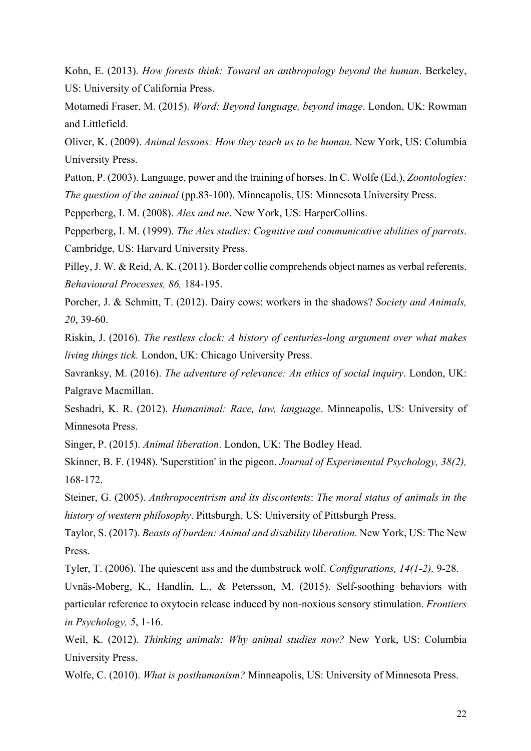Kohn, E. (2013). *How forests think: Toward an anthropology beyond the human*. Berkeley, US: University of California Press.

Motamedi Fraser, M. (2015). *Word: Beyond language, beyond image*. London, UK: Rowman and Littlefield.

Oliver, K. (2009). *Animal lessons: How they teach us to be human*. New York, US: Columbia University Press.

Patton, P. (2003). Language, power and the training of horses. In C. Wolfe (Ed.), *Zoontologies: The question of the animal* (pp.83-100). Minneapolis, US: Minnesota University Press.

Pepperberg, I. M. (2008). *Alex and me*. New York, US: HarperCollins.

Pepperberg, I. M. (1999). *The Alex studies: Cognitive and communicative abilities of parrots*. Cambridge, US: Harvard University Press.

Pilley, J. W. & Reid, A. K. (2011). Border collie comprehends object names as verbal referents. *Behavioural Processes, 86,* 184-195.

Porcher, J. & Schmitt, T. (2012). Dairy cows: workers in the shadows? *Society and Animals, 20*, 39-60.

Riskin, J. (2016). *The restless clock: A history of centuries-long argument over what makes living things tick.* London, UK: Chicago University Press.

Savranksy, M. (2016). *The adventure of relevance: An ethics of social inquiry*. London, UK: Palgrave Macmillan.

Seshadri, K. R. (2012). *Humanimal: Race, law, language*. Minneapolis, US: University of Minnesota Press.

Singer, P. (2015). *Animal liberation*. London, UK: The Bodley Head.

Skinner, B. F. (1948). 'Superstition' in the pigeon. *Journal of Experimental Psychology, 38(2),* 168-172.

Steiner, G. (2005). *Anthropocentrism and its discontents*: *The moral status of animals in the history of western philosophy*. Pittsburgh, US: University of Pittsburgh Press.

Taylor, S. (2017). *Beasts of burden: Animal and disability liberation*. New York, US: The New Press.

Tyler, T. (2006). The quiescent ass and the dumbstruck wolf. *Configurations, 14(1-2),* 9-28.

Uvnäs-Moberg, K., Handlin, L., & Petersson, M. (2015). Self-soothing behaviors with particular reference to oxytocin release induced by non-noxious sensory stimulation. *Frontiers in Psychology, 5*, 1-16.

Weil, K. (2012). *Thinking animals: Why animal studies now?* New York, US: Columbia University Press.

Wolfe, C. (2010). *What is posthumanism?* Minneapolis, US: University of Minnesota Press.